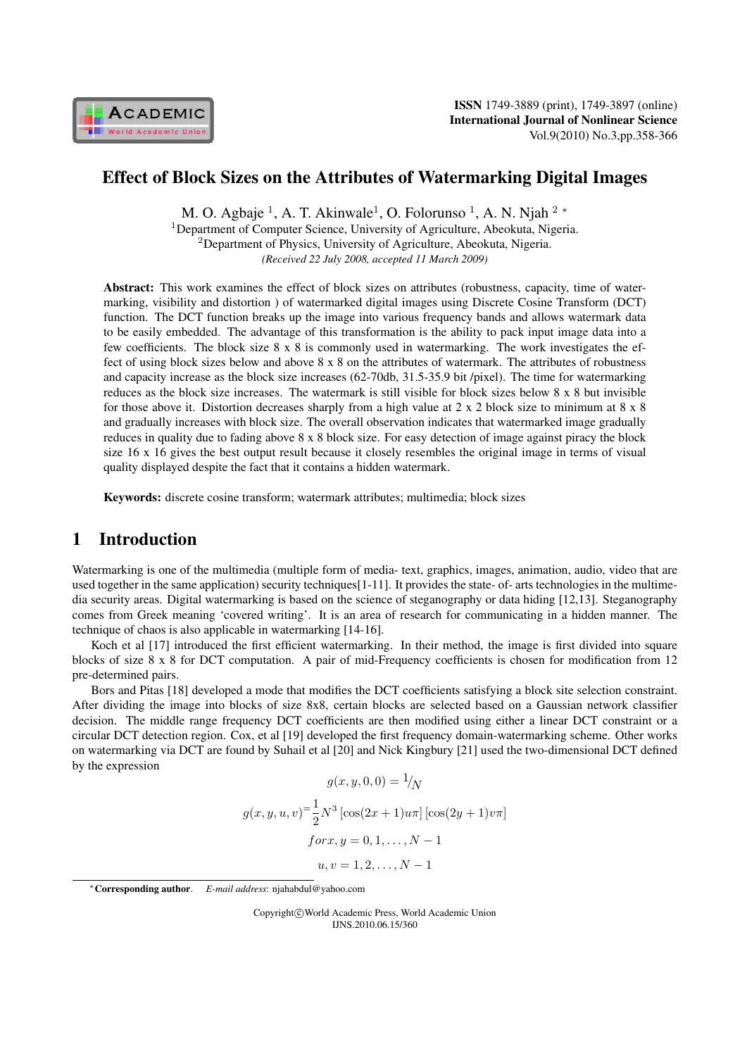

# Effect of Block Sizes on the Attributes of Watermarking Digital Images

M. O. Agbaje <sup>1</sup>, A. T. Akinwale<sup>1</sup>, O. Folorunso <sup>1</sup>, A. N. Njah <sup>2</sup> *\** <sup>1</sup>Department of Computer Science, University of Agriculture, Abeokuta, Nigeria. <sup>2</sup>Department of Physics, University of Agriculture, Abeokuta, Nigeria. *(Received 22 July 2008, accepted 11 March 2009)*

Abstract: This work examines the effect of block sizes on attributes (robustness, capacity, time of watermarking, visibility and distortion ) of watermarked digital images using Discrete Cosine Transform (DCT) function. The DCT function breaks up the image into various frequency bands and allows watermark data to be easily embedded. The advantage of this transformation is the ability to pack input image data into a few coefficients. The block size 8 x 8 is commonly used in watermarking. The work investigates the effect of using block sizes below and above 8 x 8 on the attributes of watermark. The attributes of robustness and capacity increase as the block size increases (62-70db, 31.5-35.9 bit /pixel). The time for watermarking reduces as the block size increases. The watermark is still visible for block sizes below 8 x 8 but invisible for those above it. Distortion decreases sharply from a high value at 2 x 2 block size to minimum at 8 x 8 and gradually increases with block size. The overall observation indicates that watermarked image gradually reduces in quality due to fading above 8 x 8 block size. For easy detection of image against piracy the block size 16 x 16 gives the best output result because it closely resembles the original image in terms of visual quality displayed despite the fact that it contains a hidden watermark.

Keywords: discrete cosine transform; watermark attributes; multimedia; block sizes

# 1 Introduction

Watermarking is one of the multimedia (multiple form of media- text, graphics, images, animation, audio, video that are used together in the same application) security techniques[1-11]. It provides the state- of- arts technologies in the multimedia security areas. Digital watermarking is based on the science of steganography or data hiding [12,13]. Steganography comes from Greek meaning 'covered writing'. It is an area of research for communicating in a hidden manner. The technique of chaos is also applicable in watermarking [14-16].

Koch et al [17] introduced the first efficient watermarking. In their method, the image is first divided into square blocks of size 8 x 8 for DCT computation. A pair of mid-Frequency coefficients is chosen for modification from 12 pre-determined pairs.

Bors and Pitas [18] developed a mode that modifies the DCT coefficients satisfying a block site selection constraint. After dividing the image into blocks of size 8x8, certain blocks are selected based on a Gaussian network classifier decision. The middle range frequency DCT coefficients are then modified using either a linear DCT constraint or a circular DCT detection region. Cox, et al [19] developed the first frequency domain-watermarking scheme. Other works on watermarking via DCT are found by Suhail et al [20] and Nick Kingbury [21] used the two-dimensional DCT defined by the expression

$$
g(x, y, 0, 0) = \frac{1}{N}
$$

$$
g(x, y, u, v) = \frac{1}{2}N^3 \left[\cos(2x + 1)u\pi\right] \left[\cos(2y + 1)v\pi\right]
$$

$$
for x, y = 0, 1, ..., N - 1
$$

$$
u, v = 1, 2, ..., N - 1
$$

Copyright*⃝*c World Academic Press, World Academic Union IJNS.2010.06.15/360

*<sup>∗</sup>*Corresponding author. *E-mail address*: njahabdul@yahoo.com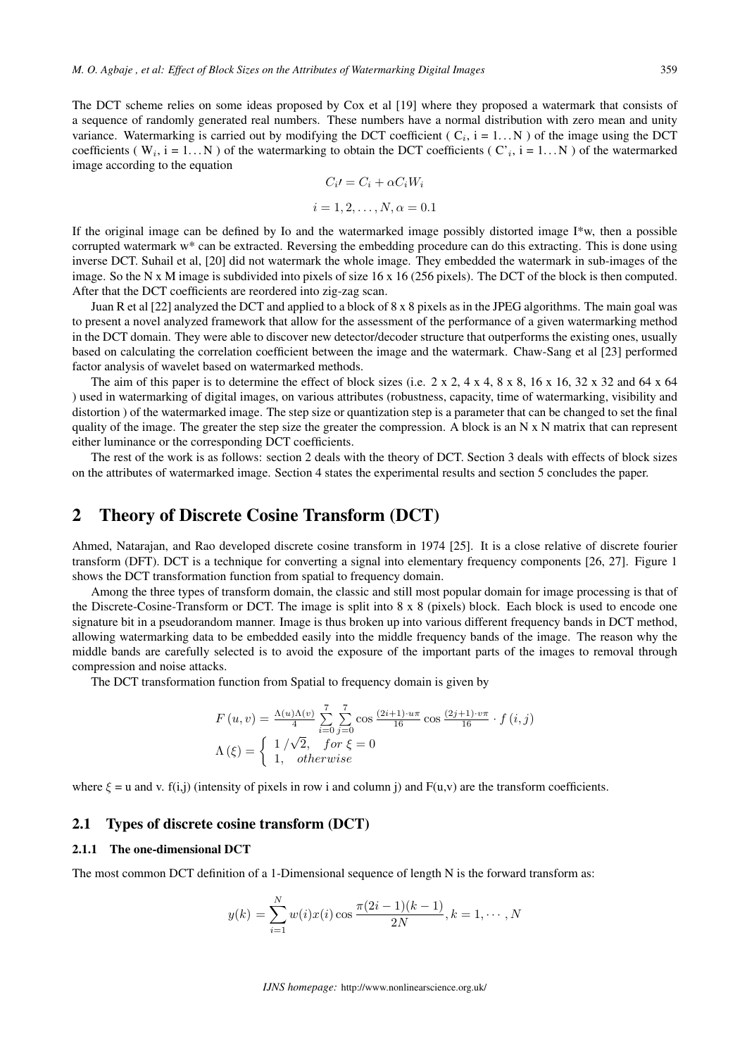The DCT scheme relies on some ideas proposed by Cox et al [19] where they proposed a watermark that consists of a sequence of randomly generated real numbers. These numbers have a normal distribution with zero mean and unity variance. Watermarking is carried out by modifying the DCT coefficient ( $C_i$ ,  $i = 1...N$ ) of the image using the DCT coefficients ( $W_i$ , i = 1... N) of the watermarking to obtain the DCT coefficients ( $C_i$ , i = 1... N) of the watermarked image according to the equation

$$
C_i = C_i + \alpha C_i W_i
$$

$$
i = 1, 2, \dots, N, \alpha = 0.1
$$

If the original image can be defined by Io and the watermarked image possibly distorted image I\*w, then a possible corrupted watermark w\* can be extracted. Reversing the embedding procedure can do this extracting. This is done using inverse DCT. Suhail et al, [20] did not watermark the whole image. They embedded the watermark in sub-images of the image. So the N x M image is subdivided into pixels of size 16 x 16 (256 pixels). The DCT of the block is then computed. After that the DCT coefficients are reordered into zig-zag scan.

Juan R et al [22] analyzed the DCT and applied to a block of 8 x 8 pixels as in the JPEG algorithms. The main goal was to present a novel analyzed framework that allow for the assessment of the performance of a given watermarking method in the DCT domain. They were able to discover new detector/decoder structure that outperforms the existing ones, usually based on calculating the correlation coefficient between the image and the watermark. Chaw-Sang et al [23] performed factor analysis of wavelet based on watermarked methods.

The aim of this paper is to determine the effect of block sizes (i.e.  $2 \times 2$ ,  $4 \times 4$ ,  $8 \times 8$ ,  $16 \times 16$ ,  $32 \times 32$  and  $64 \times 64$ ) used in watermarking of digital images, on various attributes (robustness, capacity, time of watermarking, visibility and distortion ) of the watermarked image. The step size or quantization step is a parameter that can be changed to set the final quality of the image. The greater the step size the greater the compression. A block is an  $N \times N$  matrix that can represent either luminance or the corresponding DCT coefficients.

The rest of the work is as follows: section 2 deals with the theory of DCT. Section 3 deals with effects of block sizes on the attributes of watermarked image. Section 4 states the experimental results and section 5 concludes the paper.

## 2 Theory of Discrete Cosine Transform (DCT)

Ahmed, Natarajan, and Rao developed discrete cosine transform in 1974 [25]. It is a close relative of discrete fourier transform (DFT). DCT is a technique for converting a signal into elementary frequency components [26, 27]. Figure 1 shows the DCT transformation function from spatial to frequency domain.

Among the three types of transform domain, the classic and still most popular domain for image processing is that of the Discrete-Cosine-Transform or DCT. The image is split into 8 x 8 (pixels) block. Each block is used to encode one signature bit in a pseudorandom manner. Image is thus broken up into various different frequency bands in DCT method, allowing watermarking data to be embedded easily into the middle frequency bands of the image. The reason why the middle bands are carefully selected is to avoid the exposure of the important parts of the images to removal through compression and noise attacks.

The DCT transformation function from Spatial to frequency domain is given by

$$
F(u, v) = \frac{\Lambda(u)\Lambda(v)}{4} \sum_{i=0}^{7} \sum_{j=0}^{7} \cos \frac{(2i+1) \cdot u\pi}{16} \cos \frac{(2j+1) \cdot v\pi}{16} \cdot f(i, j)
$$

$$
\Lambda(\xi) = \begin{cases} 1/\sqrt{2}, & \text{for } \xi = 0\\ 1, & \text{otherwise} \end{cases}
$$

where  $\xi = u$  and v. f(i,j) (intensity of pixels in row i and column j) and  $F(u, v)$  are the transform coefficients.

## 2.1 Types of discrete cosine transform (DCT)

### 2.1.1 The one-dimensional DCT

The most common DCT definition of a 1-Dimensional sequence of length N is the forward transform as:

$$
y(k) = \sum_{i=1}^{N} w(i)x(i) \cos \frac{\pi(2i-1)(k-1)}{2N}, k = 1, \cdots, N
$$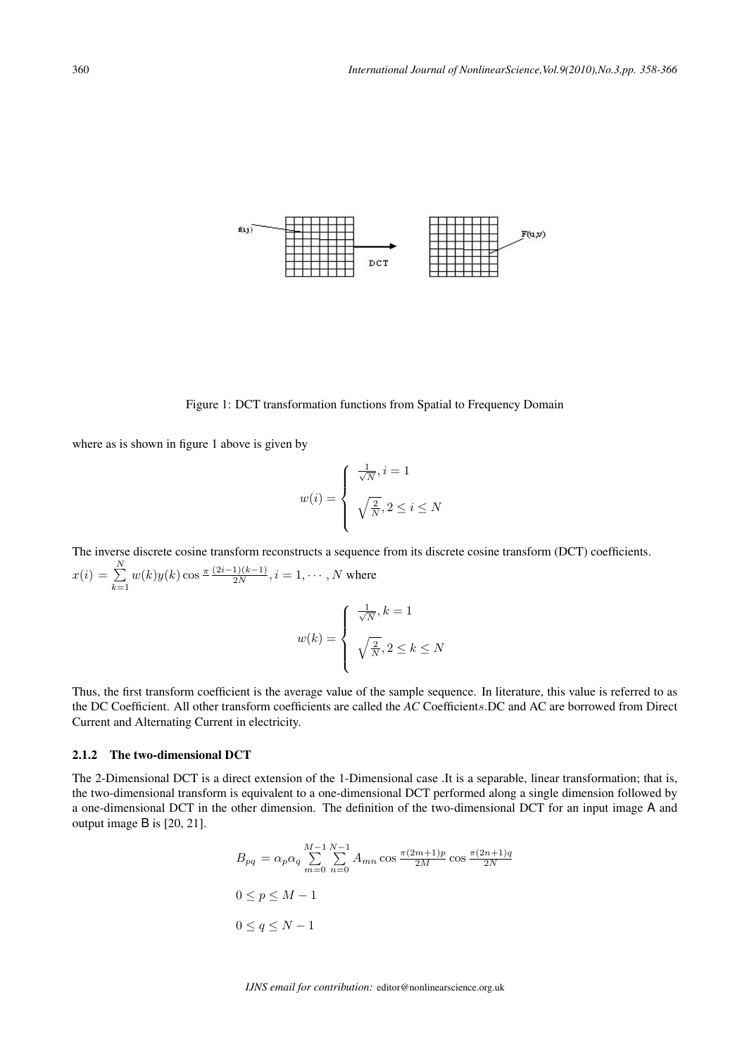

Figure 1: DCT transformation functions from Spatial to Frequency Domain

where as is shown in figure 1 above is given by

$$
w(i) = \begin{cases} \frac{1}{\sqrt{N}}, i = 1\\ \sqrt{\frac{2}{N}}, 2 \le i \le N \end{cases}
$$

The inverse discrete cosine transform reconstructs a sequence from its discrete cosine transform (DCT) coefficients.  $x(i) = \sum^{N}$  $_{k=1}$  $w(k)y(k) \cos \frac{\pi (2i-1)(k-1)}{2N}, i = 1, \cdots, N$  where

$$
w(k) = \begin{cases} \frac{1}{\sqrt{N}}, k = 1 \\ \sqrt{\frac{2}{N}}, 2 \leq k \leq N \end{cases}
$$

Thus, the first transform coefficient is the average value of the sample sequence. In literature, this value is referred to as the DC Coefficient. All other transform coefficients are called the *AC* Coefficients. DC and AC are borrowed from Direct Current and Alternating Current in electricity.

### 2.1.2 The two-dimensional DCT

The 2-Dimensional DCT is a direct extension of the 1-Dimensional case .It is a separable, linear transformation; that is, the two-dimensional transform is equivalent to a one-dimensional DCT performed along a single dimension followed by a one-dimensional DCT in the other dimension. The definition of the two-dimensional DCT for an input image A and output image B is [20, 21].

$$
B_{pq} = \alpha_p \alpha_q \sum_{m=0}^{M-1} \sum_{n=0}^{N-1} A_{mn} \cos \frac{\pi (2m+1)p}{2M} \cos \frac{\pi (2n+1)q}{2N}
$$
  
 
$$
0 \le p \le M-1
$$
  
 
$$
0 \le q \le N-1
$$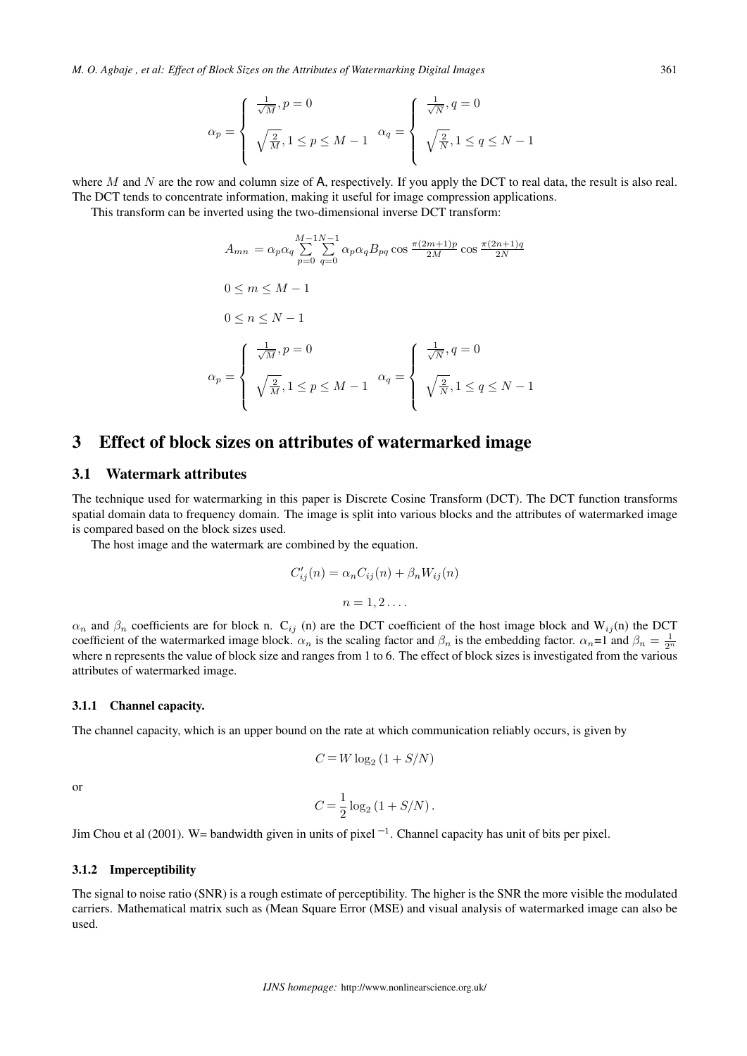*M. O. Agbaje , et al: Effect of Block Sizes on the Attributes of Watermarking Digital Images* 361

$$
\alpha_p = \begin{cases} \frac{1}{\sqrt{M}}, p = 0 \\ \sqrt{\frac{2}{M}}, 1 \le p \le M - 1 \end{cases} \quad \alpha_q = \begin{cases} \frac{1}{\sqrt{N}}, q = 0 \\ \sqrt{\frac{2}{N}}, 1 \le q \le N - 1 \end{cases}
$$

where M and N are the row and column size of  $A$ , respectively. If you apply the DCT to real data, the result is also real. The DCT tends to concentrate information, making it useful for image compression applications.

This transform can be inverted using the two-dimensional inverse DCT transform:

$$
A_{mn} = \alpha_p \alpha_q \sum_{p=0}^{M-1} \sum_{q=0}^{N-1} \alpha_p \alpha_q B_{pq} \cos \frac{\pi (2m+1)p}{2M} \cos \frac{\pi (2n+1)q}{2N}
$$
  

$$
0 \le m \le M-1
$$
  

$$
0 \le n \le N-1
$$
  

$$
\alpha_p = \begin{cases} \frac{1}{\sqrt{M}}, p=0\\ \sqrt{\frac{2}{M}}, 1 \le p \le M-1 \end{cases} \quad \alpha_q = \begin{cases} \frac{1}{\sqrt{N}}, q=0\\ \sqrt{\frac{2}{N}}, 1 \le q \le N-1 \end{cases}
$$

## 3 Effect of block sizes on attributes of watermarked image

## 3.1 Watermark attributes

The technique used for watermarking in this paper is Discrete Cosine Transform (DCT). The DCT function transforms spatial domain data to frequency domain. The image is split into various blocks and the attributes of watermarked image is compared based on the block sizes used.

The host image and the watermark are combined by the equation.

$$
C'_{ij}(n) = \alpha_n C_{ij}(n) + \beta_n W_{ij}(n)
$$

$$
n = 1, 2 \dots
$$

 $\alpha_n$  and  $\beta_n$  coefficients are for block n. C<sub>ij</sub> (n) are the DCT coefficient of the host image block and W<sub>ij</sub>(n) the DCT coefficient of the watermarked image block.  $\alpha_n$  is the scaling factor and  $\beta_n$  is the embedding factor.  $\alpha_n=1$  and  $\beta_n=\frac{1}{2^n}$ where n represents the value of block size and ranges from 1 to 6. The effect of block sizes is investigated from the various attributes of watermarked image.

#### 3.1.1 Channel capacity.

The channel capacity, which is an upper bound on the rate at which communication reliably occurs, is given by

$$
C\,{=}\,W\log_2\left(1+S/N\right)
$$

or

$$
C=\frac{1}{2}\log_2\left(1+S/N\right).
$$

Jim Chou et al (2001). W= bandwidth given in units of pixel  $^{-1}$ . Channel capacity has unit of bits per pixel.

### 3.1.2 Imperceptibility

The signal to noise ratio (SNR) is a rough estimate of perceptibility. The higher is the SNR the more visible the modulated carriers. Mathematical matrix such as (Mean Square Error (MSE) and visual analysis of watermarked image can also be used.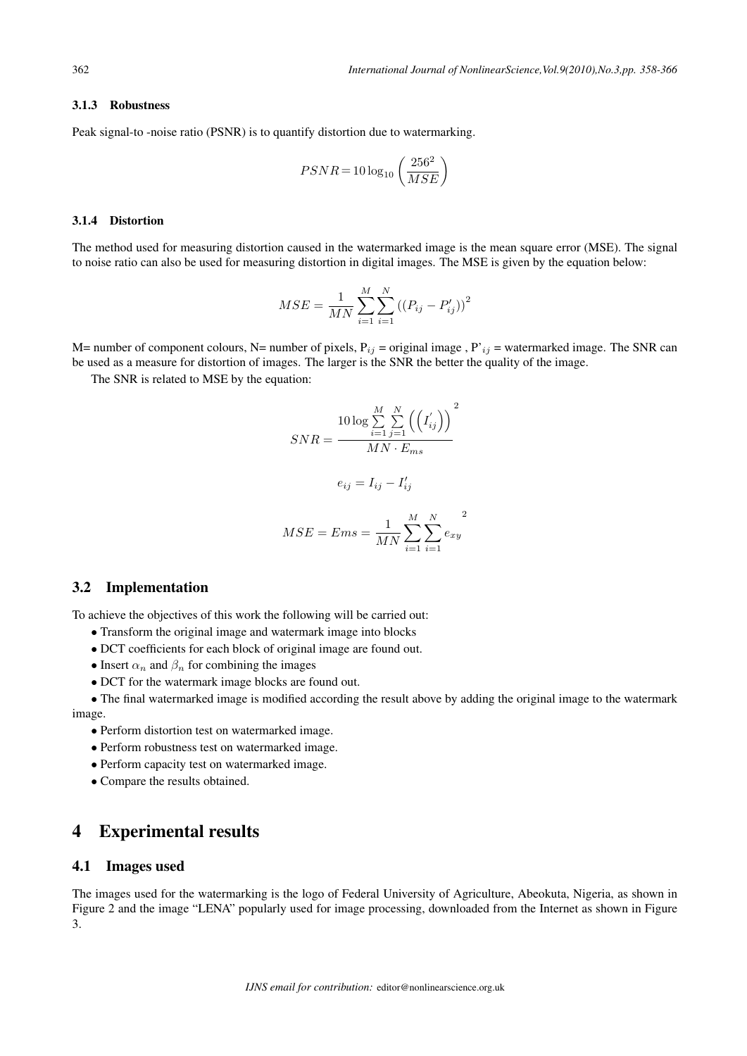#### 3.1.3 Robustness

Peak signal-to -noise ratio (PSNR) is to quantify distortion due to watermarking.

$$
PSNR = 10\log_{10}\left(\frac{256^2}{MSE}\right)
$$

#### 3.1.4 Distortion

The method used for measuring distortion caused in the watermarked image is the mean square error (MSE). The signal to noise ratio can also be used for measuring distortion in digital images. The MSE is given by the equation below:

$$
MSE = \frac{1}{MN} \sum_{i=1}^{M} \sum_{i=1}^{N} ((P_{ij} - P'_{ij}))^{2}
$$

M= number of component colours, N= number of pixels,  $P_{ij}$  = original image , P'<sub>ij</sub> = watermarked image. The SNR can be used as a measure for distortion of images. The larger is the SNR the better the quality of the image.

The SNR is related to MSE by the equation:

$$
SNR = \frac{10 \log \sum_{i=1}^{M} \sum_{j=1}^{N} ((I'_{ij}))^{2}}{MN \cdot E_{ms}}
$$

$$
e_{ij} = I_{ij} - I'_{ij}
$$

$$
MSE = Ems = \frac{1}{MN} \sum_{i=1}^{M} \sum_{i=1}^{N} e_{xy}
$$

### 3.2 Implementation

To achieve the objectives of this work the following will be carried out:

- *∙* Transform the original image and watermark image into blocks
- *∙* DCT coefficients for each block of original image are found out.
- $\bullet$  Insert  $\alpha_n$  and  $\beta_n$  for combining the images
- *∙* DCT for the watermark image blocks are found out.

*∙* The final watermarked image is modified according the result above by adding the original image to the watermark image.

- *∙* Perform distortion test on watermarked image.
- *∙* Perform robustness test on watermarked image.
- *∙* Perform capacity test on watermarked image.
- *∙* Compare the results obtained.

## 4 Experimental results

### 4.1 Images used

The images used for the watermarking is the logo of Federal University of Agriculture, Abeokuta, Nigeria, as shown in Figure 2 and the image "LENA" popularly used for image processing, downloaded from the Internet as shown in Figure 3.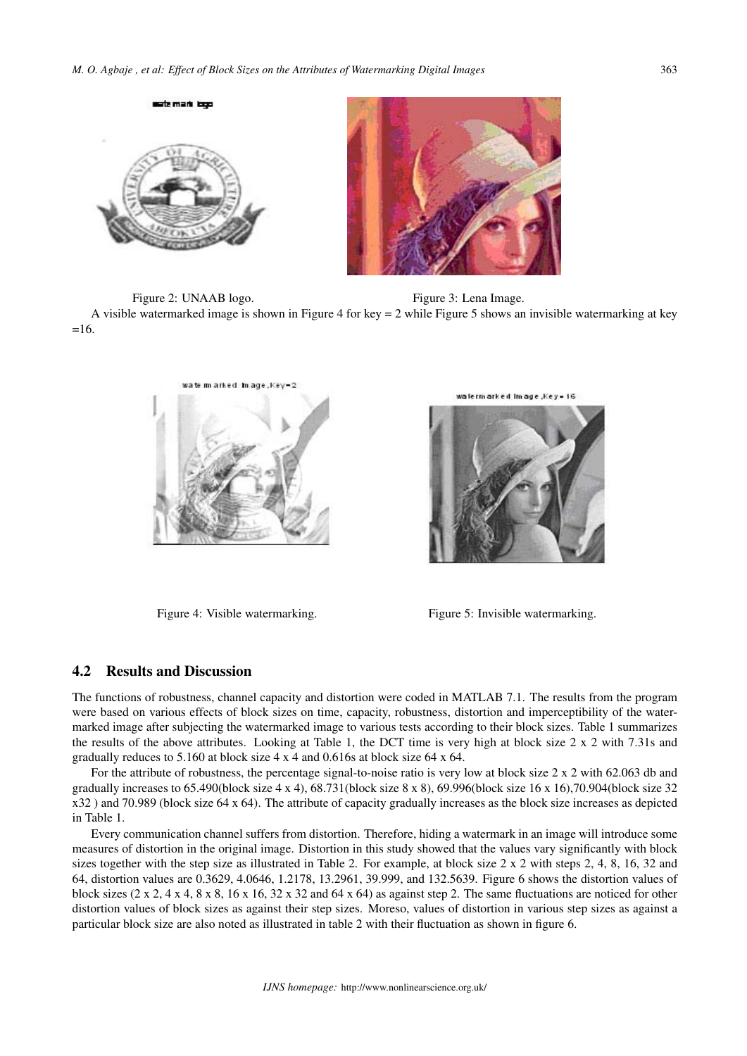

Figure 2: UNAAB logo. Figure 3: Lena Image. A visible watermarked image is shown in Figure 4 for key = 2 while Figure 5 shows an invisible watermarking at key  $=16.$ 



watermarked image Keys 16



Figure 4: Visible watermarking. Figure 5: Invisible watermarking.

## 4.2 Results and Discussion

The functions of robustness, channel capacity and distortion were coded in MATLAB 7.1. The results from the program were based on various effects of block sizes on time, capacity, robustness, distortion and imperceptibility of the watermarked image after subjecting the watermarked image to various tests according to their block sizes. Table 1 summarizes the results of the above attributes. Looking at Table 1, the DCT time is very high at block size 2 x 2 with 7.31s and gradually reduces to 5.160 at block size 4 x 4 and 0.616s at block size 64 x 64.

For the attribute of robustness, the percentage signal-to-noise ratio is very low at block size 2 x 2 with 62.063 db and gradually increases to 65.490(block size 4 x 4), 68.731(block size 8 x 8), 69.996(block size 16 x 16),70.904(block size 32 x32 ) and 70.989 (block size 64 x 64). The attribute of capacity gradually increases as the block size increases as depicted in Table 1.

Every communication channel suffers from distortion. Therefore, hiding a watermark in an image will introduce some measures of distortion in the original image. Distortion in this study showed that the values vary significantly with block sizes together with the step size as illustrated in Table 2. For example, at block size 2 x 2 with steps 2, 4, 8, 16, 32 and 64, distortion values are 0.3629, 4.0646, 1.2178, 13.2961, 39.999, and 132.5639. Figure 6 shows the distortion values of block sizes  $(2 \times 2, 4 \times 4, 8 \times 8, 16 \times 16, 32 \times 32, 32, 46 \times 64)$  as against step 2. The same fluctuations are noticed for other distortion values of block sizes as against their step sizes. Moreso, values of distortion in various step sizes as against a particular block size are also noted as illustrated in table 2 with their fluctuation as shown in figure 6.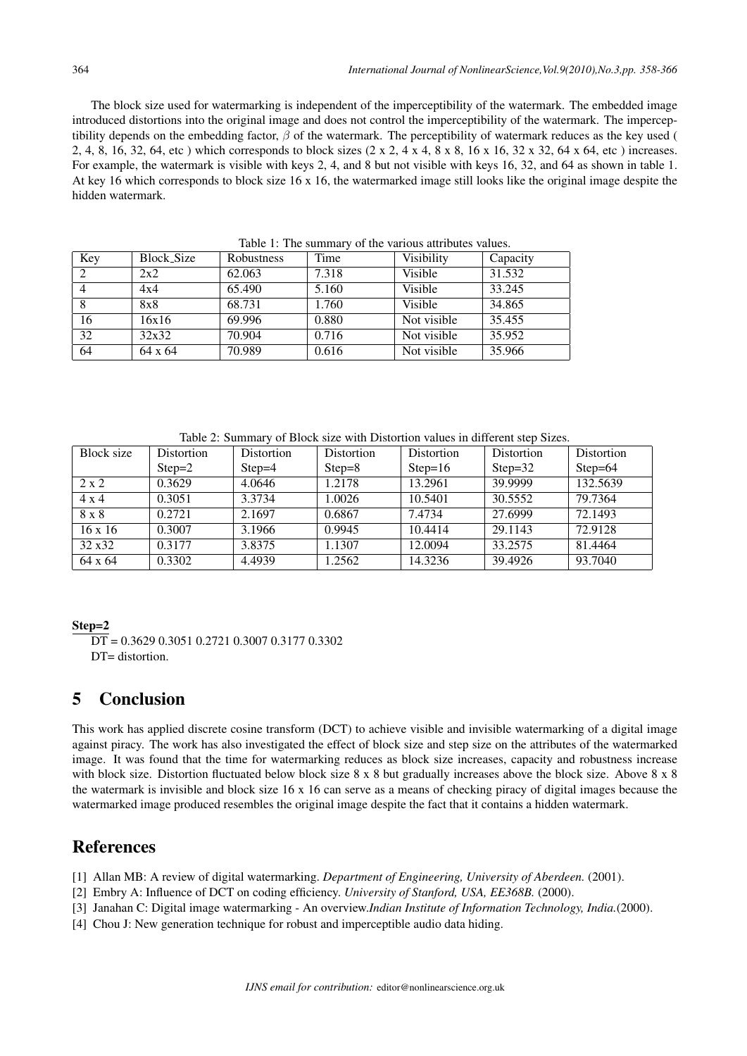The block size used for watermarking is independent of the imperceptibility of the watermark. The embedded image introduced distortions into the original image and does not control the imperceptibility of the watermark. The imperceptibility depends on the embedding factor,  $\beta$  of the watermark. The perceptibility of watermark reduces as the key used ( 2, 4, 8, 16, 32, 64, etc ) which corresponds to block sizes (2 x 2, 4 x 4, 8 x 8, 16 x 16, 32 x 32, 64 x 64, etc ) increases. For example, the watermark is visible with keys 2, 4, and 8 but not visible with keys 16, 32, and 64 as shown in table 1. At key 16 which corresponds to block size 16 x 16, the watermarked image still looks like the original image despite the hidden watermark.

| Key | Block_Size | <b>Robustness</b> | Time  | Visibility  | Capacity |
|-----|------------|-------------------|-------|-------------|----------|
|     | 2x2        | 62.063            | 7.318 | Visible     | 31.532   |
|     | 4x4        | 65.490            | 5.160 | Visible     | 33.245   |
|     | 8x8        | 68.731            | 1.760 | Visible     | 34.865   |
| 16  | 16x16      | 69.996            | 0.880 | Not visible | 35.455   |
| 32  | 32x32      | 70.904            | 0.716 | Not visible | 35.952   |
| 64  | 64 x 64    | 70.989            | 0.616 | Not visible | 35.966   |

Table 1: The summary of the various attributes values.

Table 2: Summary of Block size with Distortion values in different step Sizes.

| Block size     | <b>Distortion</b> | Distortion | Distortion | Distortion | Distortion | Distortion |
|----------------|-------------------|------------|------------|------------|------------|------------|
|                | $Step=2$          | $Step=4$   | $Step = 8$ | $Step=16$  | Step= $32$ | Step= $64$ |
| $2 \times 2$   | 0.3629            | 4.0646     | 1.2178     | 13.2961    | 39.9999    | 132.5639   |
| $4 \times 4$   | 0.3051            | 3.3734     | 1.0026     | 10.5401    | 30.5552    | 79.7364    |
| 8 x 8          | 0.2721            | 2.1697     | 0.6867     | 7.4734     | 27.6999    | 72.1493    |
| $16 \times 16$ | 0.3007            | 3.1966     | 0.9945     | 10.4414    | 29.1143    | 72.9128    |
| 32 x 32        | 0.3177            | 3.8375     | 1.1307     | 12.0094    | 33.2575    | 81.4464    |
| 64 x 64        | 0.3302            | 4.4939     | 1.2562     | 14.3236    | 39.4926    | 93.7040    |

### Step=2

# 5 Conclusion

This work has applied discrete cosine transform (DCT) to achieve visible and invisible watermarking of a digital image against piracy. The work has also investigated the effect of block size and step size on the attributes of the watermarked image. It was found that the time for watermarking reduces as block size increases, capacity and robustness increase with block size. Distortion fluctuated below block size 8 x 8 but gradually increases above the block size. Above 8 x 8 the watermark is invisible and block size 16 x 16 can serve as a means of checking piracy of digital images because the watermarked image produced resembles the original image despite the fact that it contains a hidden watermark.

# References

- [1] Allan MB: A review of digital watermarking. *Department of Engineering, University of Aberdeen.* (2001).
- [2] Embry A: Influence of DCT on coding efficiency. *University of Stanford, USA, EE368B.* (2000).
- [3] Janahan C: Digital image watermarking An overview.*Indian Institute of Information Technology, India.*(2000).
- [4] Chou J: New generation technique for robust and imperceptible audio data hiding.

 $\overline{DT}$  = 0.3629 0.3051 0.2721 0.3007 0.3177 0.3302  $DT=$  distortion.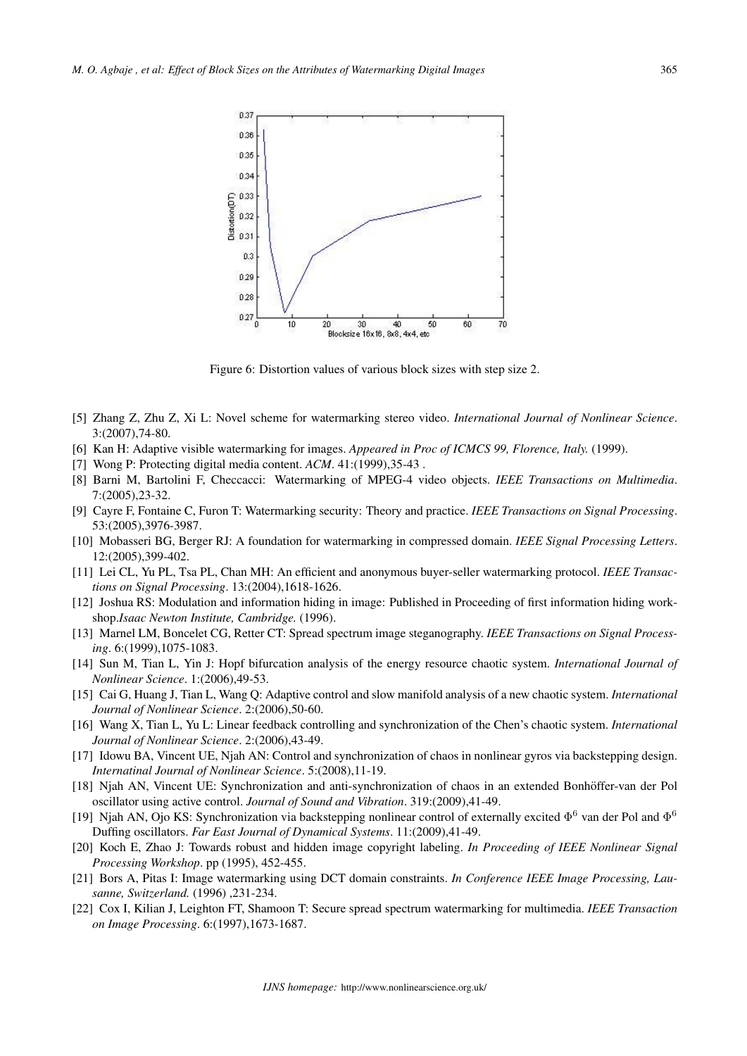

Figure 6: Distortion values of various block sizes with step size 2.

- [5] Zhang Z, Zhu Z, Xi L: Novel scheme for watermarking stereo video. *International Journal of Nonlinear Science*. 3:(2007),74-80.
- [6] Kan H: Adaptive visible watermarking for images. *Appeared in Proc of ICMCS 99, Florence, Italy.* (1999).
- [7] Wong P: Protecting digital media content. *ACM*. 41:(1999),35-43 .
- [8] Barni M, Bartolini F, Checcacci: Watermarking of MPEG-4 video objects. *IEEE Transactions on Multimedia*. 7:(2005),23-32.
- [9] Cayre F, Fontaine C, Furon T: Watermarking security: Theory and practice. *IEEE Transactions on Signal Processing*. 53:(2005),3976-3987.
- [10] Mobasseri BG, Berger RJ: A foundation for watermarking in compressed domain. *IEEE Signal Processing Letters*. 12:(2005),399-402.
- [11] Lei CL, Yu PL, Tsa PL, Chan MH: An efficient and anonymous buyer-seller watermarking protocol. *IEEE Transactions on Signal Processing*. 13:(2004),1618-1626.
- [12] Joshua RS: Modulation and information hiding in image: Published in Proceeding of first information hiding workshop.*Isaac Newton Institute, Cambridge.* (1996).
- [13] Marnel LM, Boncelet CG, Retter CT: Spread spectrum image steganography. *IEEE Transactions on Signal Processing*. 6:(1999),1075-1083.
- [14] Sun M, Tian L, Yin J: Hopf bifurcation analysis of the energy resource chaotic system. *International Journal of Nonlinear Science*. 1:(2006),49-53.
- [15] Cai G, Huang J, Tian L, Wang Q: Adaptive control and slow manifold analysis of a new chaotic system. *International Journal of Nonlinear Science*. 2:(2006),50-60.
- [16] Wang X, Tian L, Yu L: Linear feedback controlling and synchronization of the Chen's chaotic system. *International Journal of Nonlinear Science*. 2:(2006),43-49.
- [17] Idowu BA, Vincent UE, Njah AN: Control and synchronization of chaos in nonlinear gyros via backstepping design. *Internatinal Journal of Nonlinear Science*. 5:(2008),11-19.
- [18] Njah AN, Vincent UE: Synchronization and anti-synchronization of chaos in an extended Bonhöffer-van der Pol oscillator using active control. *Journal of Sound and Vibration*. 319:(2009),41-49.
- [19] Njah AN, Ojo KS: Synchronization via backstepping nonlinear control of externally excited  $\Phi^6$  van der Pol and  $\Phi^6$ Duffing oscillators. *Far East Journal of Dynamical Systems*. 11:(2009),41-49.
- [20] Koch E, Zhao J: Towards robust and hidden image copyright labeling. *In Proceeding of IEEE Nonlinear Signal Processing Workshop*. pp (1995), 452-455.
- [21] Bors A, Pitas I: Image watermarking using DCT domain constraints. *In Conference IEEE Image Processing, Lausanne, Switzerland.* (1996) ,231-234.
- [22] Cox I, Kilian J, Leighton FT, Shamoon T: Secure spread spectrum watermarking for multimedia. *IEEE Transaction on Image Processing*. 6:(1997),1673-1687.